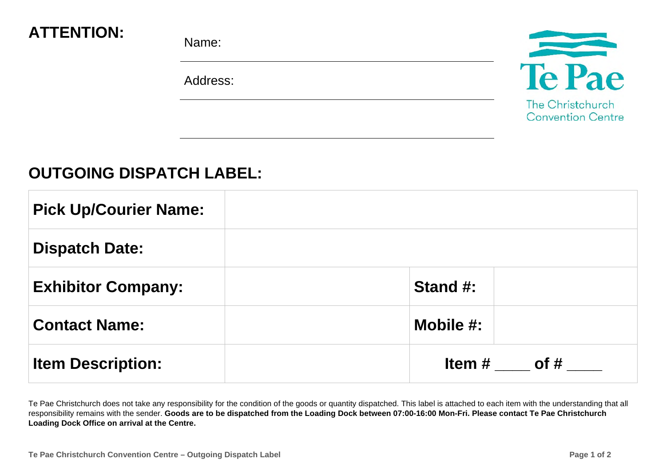## **ATTENTION:** Name:

Address:



## **OUTGOING DISPATCH LABEL:**

| <b>Pick Up/Courier Name:</b> |                   |
|------------------------------|-------------------|
| <b>Dispatch Date:</b>        |                   |
| <b>Exhibitor Company:</b>    | Stand #:          |
| <b>Contact Name:</b>         | Mobile $#$ :      |
| <b>Item Description:</b>     | Item $\#$ of $\#$ |

Te Pae Christchurch does not take any responsibility for the condition of the goods or quantity dispatched. This label is attached to each item with the understanding that all responsibility remains with the sender. **Goods are to be dispatched from the Loading Dock between 07:00-16:00 Mon-Fri. Please contact Te Pae Christchurch Loading Dock Office on arrival at the Centre.**